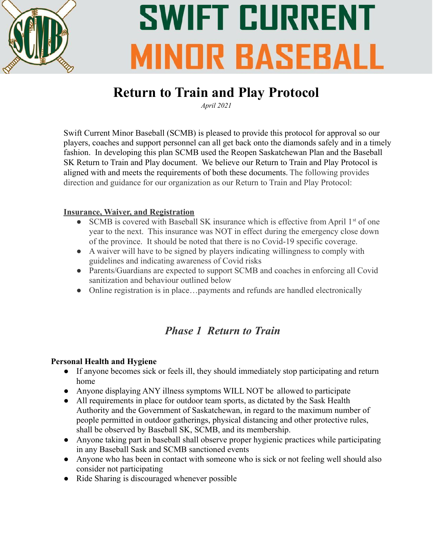

# **SWIFT CURRENT MINDR BASEBALL**

### **Return to Train and Play Protocol**

*April 2021*

Swift Current Minor Baseball (SCMB) is pleased to provide this protocol for approval so our players, coaches and support personnel can all get back onto the diamonds safely and in a timely fashion. In developing this plan SCMB used the Reopen Saskatchewan Plan and the Baseball SK Return to Train and Play document. We believe our Return to Train and Play Protocol is aligned with and meets the requirements of both these documents. The following provides direction and guidance for our organization as our Return to Train and Play Protocol:

#### **Insurance, Waiver, and Registration**

- SCMB is covered with Baseball SK insurance which is effective from April  $1<sup>st</sup>$  of one year to the next. This insurance was NOT in effect during the emergency close down of the province. It should be noted that there is no Covid-19 specific coverage.
- A waiver will have to be signed by players indicating willingness to comply with guidelines and indicating awareness of Covid risks
- Parents/Guardians are expected to support SCMB and coaches in enforcing all Covid sanitization and behaviour outlined below
- Online registration is in place...payments and refunds are handled electronically

### *Phase 1 Return to Train*

#### **Personal Health and Hygiene**

- If anyone becomes sick or feels ill, they should immediately stop participating and return home
- Anyone displaying ANY illness symptoms WILL NOT be allowed to participate
- All requirements in place for outdoor team sports, as dictated by the Sask Health Authority and the Government of Saskatchewan, in regard to the maximum number of people permitted in outdoor gatherings, physical distancing and other protective rules, shall be observed by Baseball SK, SCMB, and its membership.
- Anyone taking part in baseball shall observe proper hygienic practices while participating in any Baseball Sask and SCMB sanctioned events
- Anyone who has been in contact with someone who is sick or not feeling well should also consider not participating
- Ride Sharing is discouraged whenever possible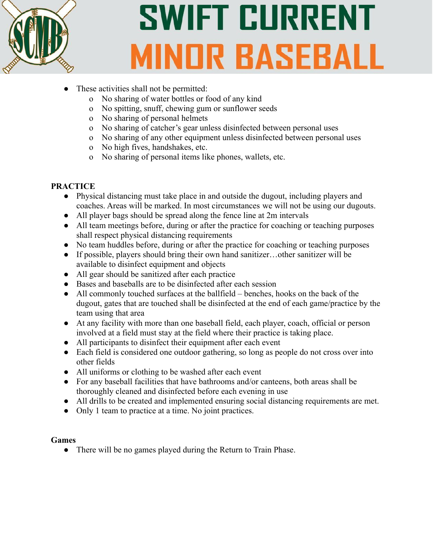

# **SWIFT CURRENT MINDR BASEBALL**

- These activities shall not be permitted:
	- o No sharing of water bottles or food of any kind
	- o No spitting, snuff, chewing gum or sunflower seeds
	- o No sharing of personal helmets
	- o No sharing of catcher's gear unless disinfected between personal uses
	- o No sharing of any other equipment unless disinfected between personal uses
	- o No high fives, handshakes, etc.
	- o No sharing of personal items like phones, wallets, etc.

#### **PRACTICE**

- Physical distancing must take place in and outside the dugout, including players and coaches. Areas will be marked. In most circumstances we will not be using our dugouts.
- All player bags should be spread along the fence line at 2m intervals
- All team meetings before, during or after the practice for coaching or teaching purposes shall respect physical distancing requirements
- No team huddles before, during or after the practice for coaching or teaching purposes
- If possible, players should bring their own hand sanitizer…other sanitizer will be available to disinfect equipment and objects
- All gear should be sanitized after each practice
- Bases and baseballs are to be disinfected after each session
- All commonly touched surfaces at the ballfield benches, hooks on the back of the dugout, gates that are touched shall be disinfected at the end of each game/practice by the team using that area
- At any facility with more than one baseball field, each player, coach, official or person involved at a field must stay at the field where their practice is taking place.
- All participants to disinfect their equipment after each event
- Each field is considered one outdoor gathering, so long as people do not cross over into other fields
- All uniforms or clothing to be washed after each event
- For any baseball facilities that have bathrooms and/or canteens, both areas shall be thoroughly cleaned and disinfected before each evening in use
- All drills to be created and implemented ensuring social distancing requirements are met.
- Only 1 team to practice at a time. No joint practices.

#### **Games**

● There will be no games played during the Return to Train Phase.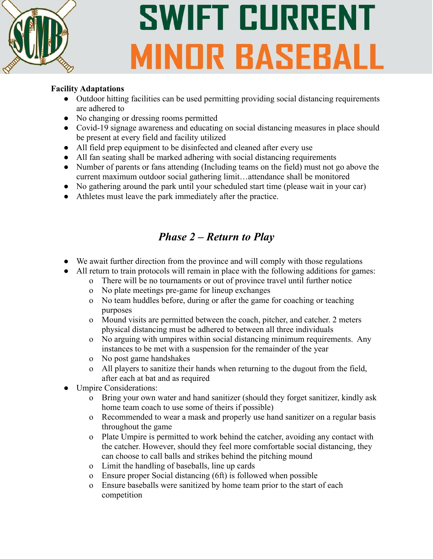

# **SWIFT CURRENT MINOR BASEBALL**

#### **Facility Adaptations**

- Outdoor hitting facilities can be used permitting providing social distancing requirements are adhered to
- No changing or dressing rooms permitted
- Covid-19 signage awareness and educating on social distancing measures in place should be present at every field and facility utilized
- All field prep equipment to be disinfected and cleaned after every use
- All fan seating shall be marked adhering with social distancing requirements
- Number of parents or fans attending (Including teams on the field) must not go above the current maximum outdoor social gathering limit…attendance shall be monitored
- No gathering around the park until your scheduled start time (please wait in your car)
- Athletes must leave the park immediately after the practice.

### *Phase 2 – Return to Play*

- We await further direction from the province and will comply with those regulations
- All return to train protocols will remain in place with the following additions for games:
	- o There will be no tournaments or out of province travel until further notice
	- o No plate meetings pre-game for lineup exchanges
	- o No team huddles before, during or after the game for coaching or teaching purposes
	- o Mound visits are permitted between the coach, pitcher, and catcher. 2 meters physical distancing must be adhered to between all three individuals
	- o No arguing with umpires within social distancing minimum requirements. Any instances to be met with a suspension for the remainder of the year
	- o No post game handshakes
	- o All players to sanitize their hands when returning to the dugout from the field, after each at bat and as required
- Umpire Considerations:
	- o Bring your own water and hand sanitizer (should they forget sanitizer, kindly ask home team coach to use some of theirs if possible)
	- o Recommended to wear a mask and properly use hand sanitizer on a regular basis throughout the game
	- o Plate Umpire is permitted to work behind the catcher, avoiding any contact with the catcher. However, should they feel more comfortable social distancing, they can choose to call balls and strikes behind the pitching mound
	- o Limit the handling of baseballs, line up cards
	- o Ensure proper Social distancing (6ft) is followed when possible
	- o Ensure baseballs were sanitized by home team prior to the start of each competition